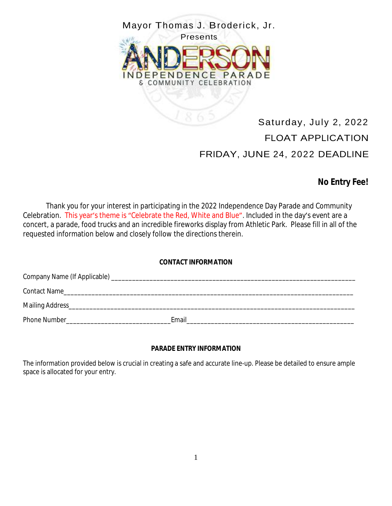

# Saturday, July 2, 2022 FLOAT APPLICATION FRIDAY, JUNE 24, 2022 DEADLINE

# **No Entry Fee!**

Thank you for your interest in participating in the 2022 Independence Day Parade and Community Celebration. This year's theme is "Celebrate the Red, White and Blue". Included in the day's event are a concert, a parade, food trucks and an incredible fireworks display from Athletic Park. Please fill in all of the requested information below and closely follow the directions therein.

#### **CONTACT INFORMATION**

| <b>Contact Name</b><br><u> 1980 - Jan Barnett, margaret eta idazlearen 19a - Jan Barnett, martxar eta idazlearen hartzen erroman ezkon</u> |       |
|--------------------------------------------------------------------------------------------------------------------------------------------|-------|
|                                                                                                                                            |       |
| <b>Phone Number</b>                                                                                                                        | Email |

## **PARADE ENTRY INFORMATION**

The information provided below is crucial in creating a safe and accurate line-up. Please be detailed to ensure ample space is allocated for your entry.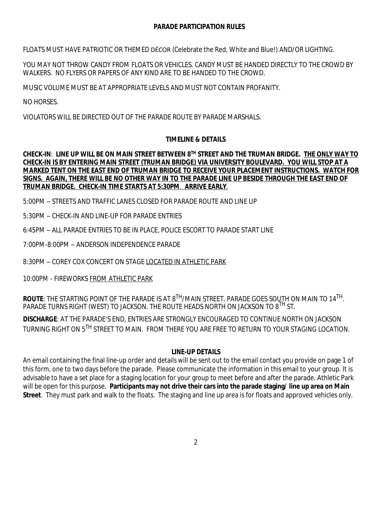#### **PARADE PARTICIPATION RULES**

FLOATS MUST HAVE PATRIOTIC OR THEMED DÉCOR (Celebrate the Red, White and Blue!) AND/OR LIGHTING.

YOU MAY NOT THROW CANDY FROM FLOATS OR VEHICLES. CANDY MUST BE HANDED DIRECTLY TO THE CROWD BY WALKERS. NO FLYERS OR PAPERS OF ANY KIND ARE TO BE HANDED TO THE CROWD.

MUSIC VOLUME MUST BE AT APPROPRIATE LEVELS AND MUST NOT CONTAIN PROFANITY.

NO HORSES.

VIOLATORS WILL BE DIRECTED OUT OF THE PARADE ROUTE BY PARADE MARSHALS.

#### **TIMELINE & DETAILS**

#### CHECK-IN: LINE UP WILL BE ON MAIN STREET BETWEEN 8TH STREET AND THE TRUMAN BRIDGE. <u>THE ONLY WAY TO</u> **CHECK-IN IS BY ENTERING MAIN STREET (TRUMAN BRIDGE) VIA UNIVERSITY BOULEVARD. YOU WILL STOP AT A MARKED TENT ON THE EAST END OF TRUMAN BRIDGE TO RECEIVE YOUR PLACEMENT INSTRUCTIONS. WATCH FOR SIGNS. AGAIN, THERE WILL BE NO OTHER WAY IN TO THE PARADE LINE UP BESIDE THROUGH THE EAST END OF TRUMAN BRIDGE. CHECK-IN TIME STARTS AT 5:30PM**. **ARRIVE EARLY**.

5:00PM – STREETS AND TRAFFIC LANES CLOSED FOR PARADE ROUTE AND LINE UP

5:30PM – CHECK-IN AND LINE-UP FOR PARADE ENTRIES

6:45PM – ALL PARADE ENTRIES TO BE IN PLACE, POLICE ESCORT TO PARADE START LINE

7:00PM-8:00PM – ANDERSON INDEPENDENCE PARADE

8:30PM – COREY COX CONCERT ON STAGE LOCATED IN ATHLETIC PARK

10:00PM - FIREWORKS FROM ATHLETIC PARK

**ROUTE**: THE STARTING POINT OF THE PARADE IS AT 8<sup>TH</sup>/MAIN STREET. PARADE GOES SOUTH ON MAIN TO 14<sup>TH</sup>. PARADE TURNS RIGHT (WEST) TO JACKSON. THE ROUTE HEADS NORTH ON JACKSON TO 8<sup>TH</sup> ST.

**DISCHARGE**: AT THE PARADE'S END, ENTRIES ARE STRONGLY ENCOURAGED TO CONTINUE NORTH ON JACKSON TURNING RIGHT ON 5<sup>TH</sup> STREET TO MAIN. FROM THERE YOU ARE FREE TO RETURN TO YOUR STAGING LOCATION.

#### **LINE-UP DETAILS**

An email containing the final line-up order and details will be sent out to the email contact you provide on page 1 of this form, one to two days before the parade. Please communicate the information in this email to your group. It is advisable to have a set place for a staging location for your group to meet before and after the parade. Athletic Park will be open for this purpose. **Participants may not drive their cars into the parade staging/ line up area on Main Street**. They must park and walk to the floats. The staging and line up area is for floats and approved vehicles only.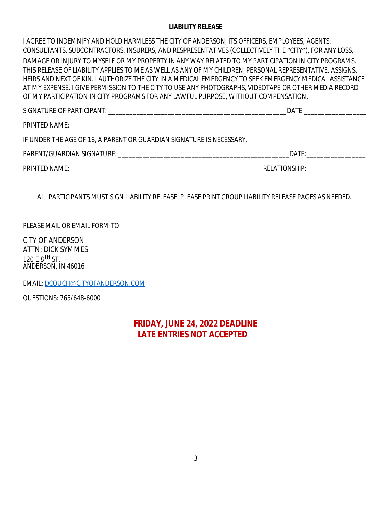#### **LIABILITY RELEASE**

I AGREE TO INDEMNIFY AND HOLD HARMLESS THE CITY OF ANDERSON, ITS OFFICERS, EMPLOYEES, AGENTS, CONSULTANTS, SUBCONTRACTORS, INSURERS, AND RESPRESENTATIVES (COLLECTIVELY THE "CITY"), FOR ANY LOSS, DAMAGE OR INJURY TO MYSELF OR MY PROPERTY IN ANY WAY RELATED TO MY PARTICIPATION IN CITY PROGRAMS. THIS RELEASE OF LIABILITY APPLIES TO ME AS WELL AS ANY OF MY CHILDREN, PERSONAL REPRESENTATIVE, ASSIGNS, HEIRS AND NEXT OF KIN. I AUTHORIZE THE CITY IN A MEDICAL EMERGENCY TO SEEK EMERGENCY MEDICAL ASSISTANCE AT MY EXPENSE. I GIVE PERMISSION TO THE CITY TO USE ANY PHOTOGRAPHS, VIDEOTAPE OR OTHER MEDIA RECORD OF MY PARTICIPATION IN CITY PROGRAMS FOR ANY LAWFUL PURPOSE, WITHOUT COMPENSATION.

|                                                                      | DATE:<br>$\mathcal{L}(\mathcal{L}(\mathcal{L}(\mathcal{L}(\mathcal{L}(\mathcal{L}(\mathcal{L}(\mathcal{L}(\mathcal{L}(\mathcal{L}(\mathcal{L}(\mathcal{L}(\mathcal{L}(\mathcal{L}(\mathcal{L}(\mathcal{L}(\mathcal{L}(\mathcal{L}(\mathcal{L}(\mathcal{L}(\mathcal{L}(\mathcal{L}(\mathcal{L}(\mathcal{L}(\mathcal{L}(\mathcal{L}(\mathcal{L}(\mathcal{L}(\mathcal{L}(\mathcal{L}(\mathcal{L}(\mathcal{L}(\mathcal{L}(\mathcal{L}(\mathcal{L}(\mathcal{L}(\mathcal{$ |  |
|----------------------------------------------------------------------|----------------------------------------------------------------------------------------------------------------------------------------------------------------------------------------------------------------------------------------------------------------------------------------------------------------------------------------------------------------------------------------------------------------------------------------------------------------------|--|
|                                                                      |                                                                                                                                                                                                                                                                                                                                                                                                                                                                      |  |
| IF UNDER THE AGE OF 18, A PARENT OR GUARDIAN SIGNATURE IS NECESSARY. |                                                                                                                                                                                                                                                                                                                                                                                                                                                                      |  |
|                                                                      | DATE: the contract of the contract of the contract of the contract of the contract of the contract of the contract of the contract of the contract of the contract of the contract of the contract of the contract of the cont                                                                                                                                                                                                                                       |  |
|                                                                      |                                                                                                                                                                                                                                                                                                                                                                                                                                                                      |  |

*ALL PARTICIPANTS MUST SIGN LIABILITY RELEASE. PLEASE PRINT GROUP LIABILITY RELEASE PAGES AS NEEDED.*

PLEASE MAIL OR EMAIL FORM TO:

CITY OF ANDERSON ATTN: DICK SYMMES 120 E  $8^{TH}$  ST. ANDERSON, IN 46016

EMAIL: [DCOUCH@CITYOFANDERSON.COM](mailto:DCOUCH@CITYOFANDERSON.COM)

QUESTIONS: 765/648-6000

# **FRIDAY, JUNE 24, 2022 DEADLINE LATE ENTRIES NOT ACCEPTED**